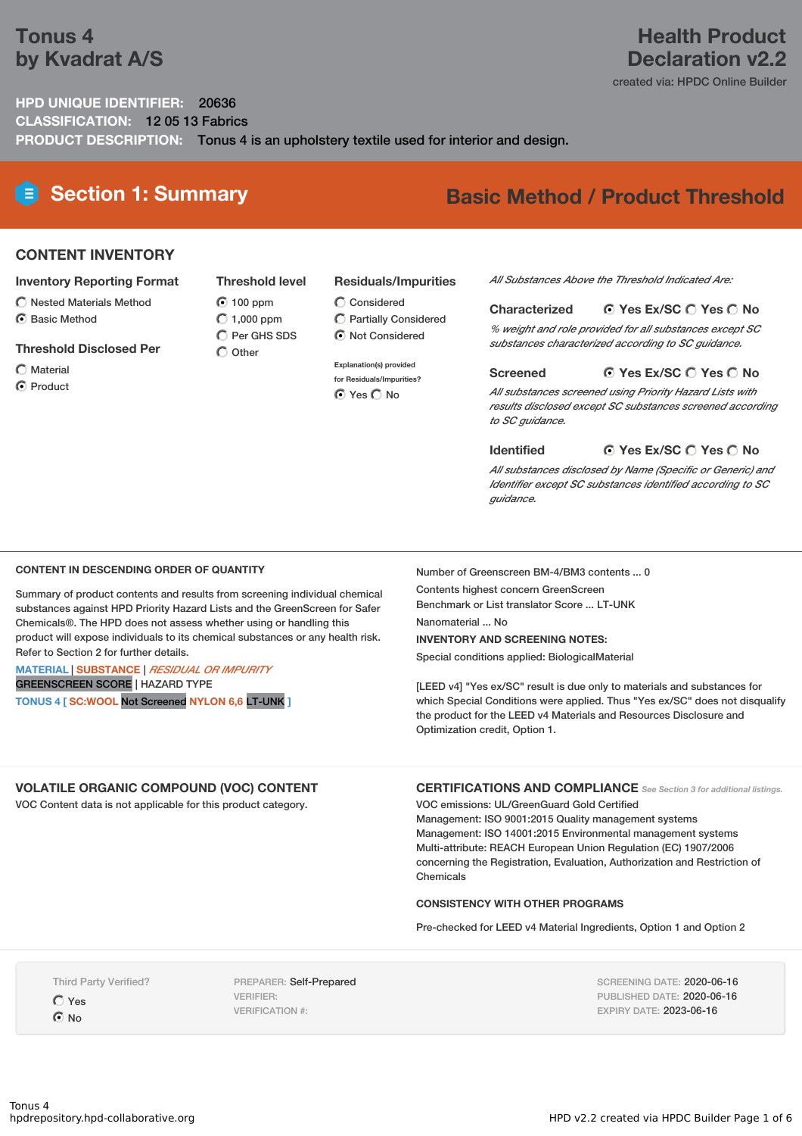## **Tonus 4 by Kvadrat A/S**

## **Health Product Declaration v2.2**

created via: HPDC Online Builder

### **HPD UNIQUE IDENTIFIER:** 20636 **CLASSIFICATION:** 12 05 13 Fabrics **PRODUCT DESCRIPTION:** Tonus 4 is an upholstery textile used for interior and design.

# **Section 1: Summary Basic Method / Product Threshold**

#### **CONTENT INVENTORY**

#### **Inventory Reporting Format**

- $\bigcirc$  Nested Materials Method
- **⊙** Basic Method

#### **Threshold Disclosed Per**

- Material
- **⊙** Product

#### **Residuals/Impurities**

100 ppm  $O$  1,000 ppm  $\bigcirc$  Considered

**Threshold level**

 $\overline{O}$  Per GHS SDS  $\bigcap$  Other

Partially Considered  $\odot$  Not Considered

#### **Explanation(s) provided**

**for Residuals/Impurities? O** Yes O No

#### *All Substances Above the Threshold Indicated Are:*

#### **Yes Ex/SC Yes No Characterized**

*% weight and role provided for all substances except SC substances characterized according to SC guidance.*

#### **Yes Ex/SC Yes No Screened**

*All substances screened using Priority Hazard Lists with results disclosed except SC substances screened according to SC guidance.*

#### **Yes Ex/SC Yes No Identified**

*All substances disclosed by Name (Specific or Generic) and Identifier except SC substances identified according to SC guidance.*

#### **CONTENT IN DESCENDING ORDER OF QUANTITY**

Summary of product contents and results from screening individual chemical substances against HPD Priority Hazard Lists and the GreenScreen for Safer Chemicals®. The HPD does not assess whether using or handling this product will expose individuals to its chemical substances or any health risk. Refer to Section 2 for further details.

#### **MATERIAL** | **SUBSTANCE** | *RESIDUAL OR IMPURITY* GREENSCREEN SCORE | HAZARD TYPE

**TONUS 4 [ SC:WOOL** Not Screened **NYLON 6,6** LT-UNK **]**

Number of Greenscreen BM-4/BM3 contents ... 0 Contents highest concern GreenScreen Benchmark or List translator Score ... LT-UNK

Nanomaterial ... No

#### **INVENTORY AND SCREENING NOTES:**

Special conditions applied: BiologicalMaterial

[LEED v4] "Yes ex/SC" result is due only to materials and substances for which Special Conditions were applied. Thus "Yes ex/SC" does not disqualify the product for the LEED v4 Materials and Resources Disclosure and Optimization credit, Option 1.

#### **VOLATILE ORGANIC COMPOUND (VOC) CONTENT**

VOC Content data is not applicable for this product category.

**CERTIFICATIONS AND COMPLIANCE** *See Section <sup>3</sup> for additional listings.*

VOC emissions: UL/GreenGuard Gold Certified Management: ISO 9001:2015 Quality management systems Management: ISO 14001:2015 Environmental management systems Multi-attribute: REACH European Union Regulation (EC) 1907/2006 concerning the Registration, Evaluation, Authorization and Restriction of Chemicals

#### **CONSISTENCY WITH OTHER PROGRAMS**

Pre-checked for LEED v4 Material Ingredients, Option 1 and Option 2

Third Party Verified?

Yes  $\odot$  No

PREPARER: Self-Prepared VERIFIER: VERIFICATION #:

SCREENING DATE: 2020-06-16 PUBLISHED DATE: 2020-06-16 EXPIRY DATE: 2023-06-16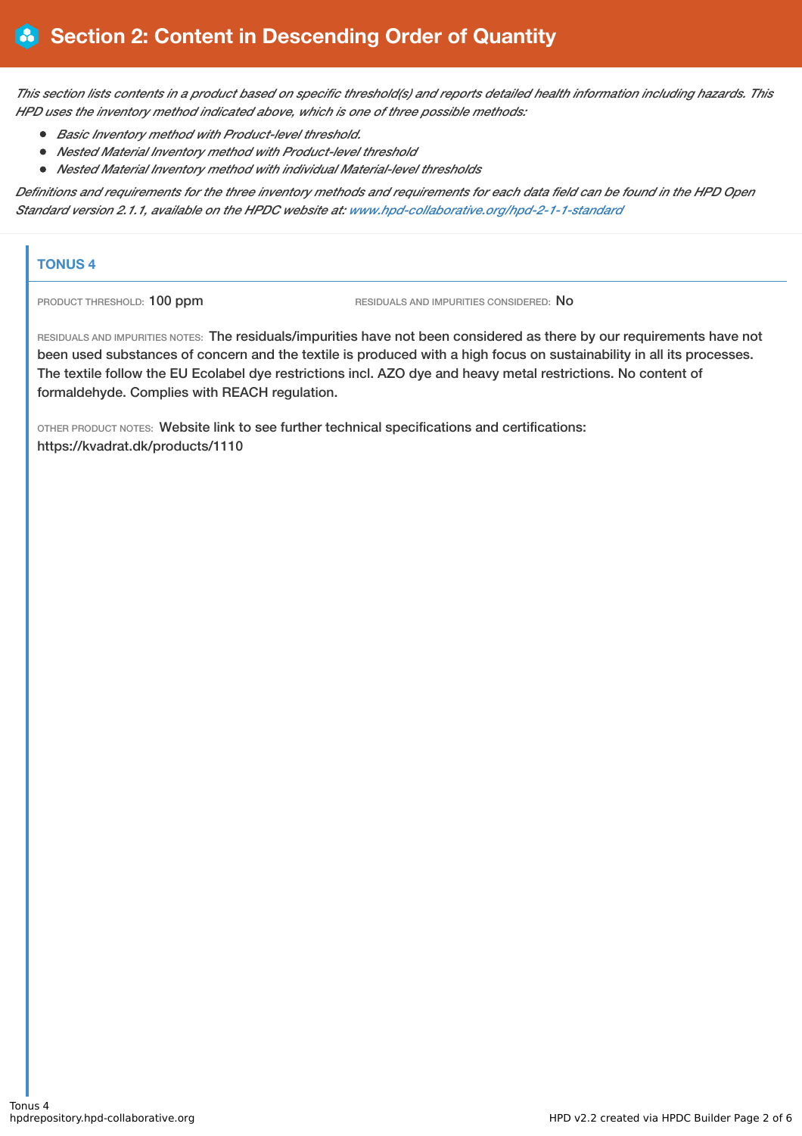This section lists contents in a product based on specific threshold(s) and reports detailed health information including hazards. This *HPD uses the inventory method indicated above, which is one of three possible methods:*

- *Basic Inventory method with Product-level threshold.*
- *Nested Material Inventory method with Product-level threshold*
- *Nested Material Inventory method with individual Material-level thresholds*

Definitions and requirements for the three inventory methods and requirements for each data field can be found in the HPD Open *Standard version 2.1.1, available on the HPDC website at: [www.hpd-collaborative.org/hpd-2-1-1-standard](https://www.hpd-collaborative.org/hpd-2-1-1-standard)*

### **TONUS 4**

PRODUCT THRESHOLD: 100 ppm RESIDUALS AND IMPURITIES CONSIDERED: No

RESIDUALS AND IMPURITIES NOTES: The residuals/impurities have not been considered as there by our requirements have not been used substances of concern and the textile is produced with a high focus on sustainability in all its processes. The textile follow the EU Ecolabel dye restrictions incl. AZO dye and heavy metal restrictions. No content of formaldehyde. Complies with REACH regulation.

OTHER PRODUCT NOTES: Website link to see further technical specifications and certifications: https://kvadrat.dk/products/1110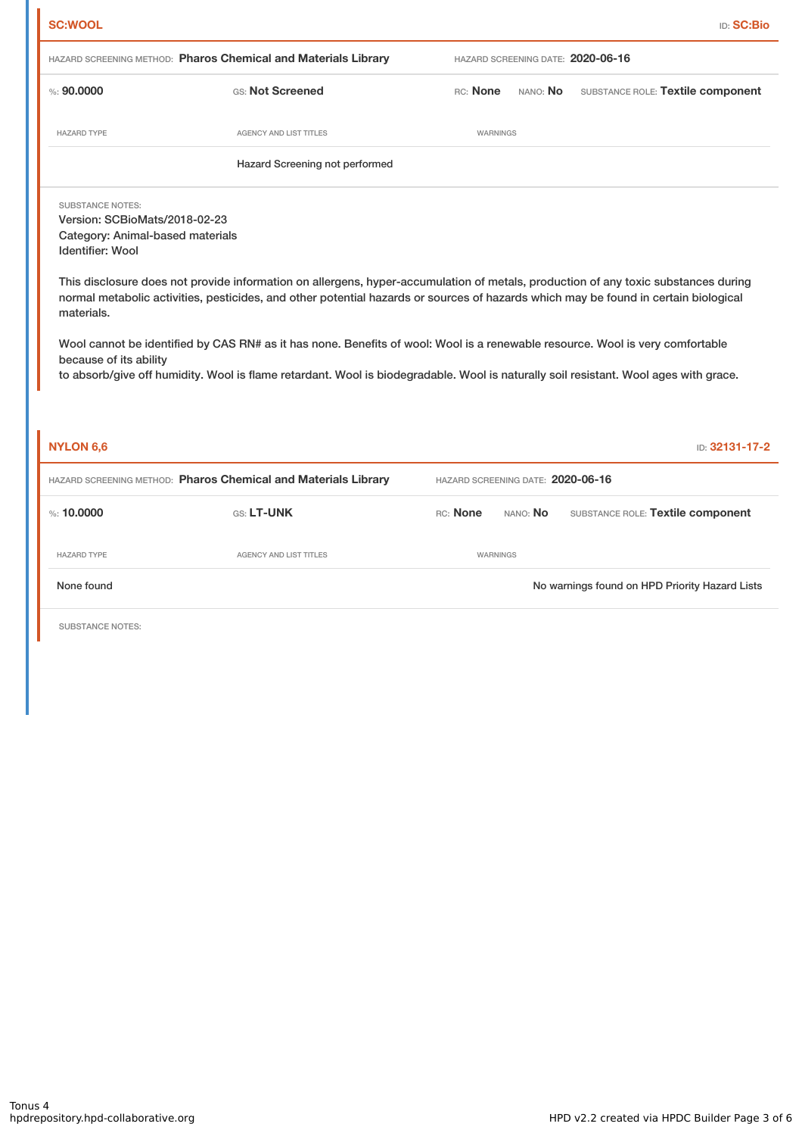|                                                                                                                                                                 |                                                                                                                                                                                                                                                                                                                                                                                                                                                                                                                                                    |                                   | <b>ID: SC:Bio</b>                              |  |  |  |
|-----------------------------------------------------------------------------------------------------------------------------------------------------------------|----------------------------------------------------------------------------------------------------------------------------------------------------------------------------------------------------------------------------------------------------------------------------------------------------------------------------------------------------------------------------------------------------------------------------------------------------------------------------------------------------------------------------------------------------|-----------------------------------|------------------------------------------------|--|--|--|
|                                                                                                                                                                 | HAZARD SCREENING METHOD: Pharos Chemical and Materials Library                                                                                                                                                                                                                                                                                                                                                                                                                                                                                     |                                   | HAZARD SCREENING DATE: 2020-06-16              |  |  |  |
| % : 90,0000                                                                                                                                                     | GS: Not Screened                                                                                                                                                                                                                                                                                                                                                                                                                                                                                                                                   | RC: None                          | SUBSTANCE ROLE: Textile component<br>NANO: No  |  |  |  |
| <b>HAZARD TYPE</b>                                                                                                                                              | AGENCY AND LIST TITLES                                                                                                                                                                                                                                                                                                                                                                                                                                                                                                                             | WARNINGS                          |                                                |  |  |  |
| Hazard Screening not performed                                                                                                                                  |                                                                                                                                                                                                                                                                                                                                                                                                                                                                                                                                                    |                                   |                                                |  |  |  |
| <b>SUBSTANCE NOTES:</b><br>Version: SCBioMats/2018-02-23<br>Category: Animal-based materials<br><b>Identifier: Wool</b><br>materials.<br>because of its ability | This disclosure does not provide information on allergens, hyper-accumulation of metals, production of any toxic substances during<br>normal metabolic activities, pesticides, and other potential hazards or sources of hazards which may be found in certain biological<br>Wool cannot be identified by CAS RN# as it has none. Benefits of wool: Wool is a renewable resource. Wool is very comfortable<br>to absorb/give off humidity. Wool is flame retardant. Wool is biodegradable. Wool is naturally soil resistant. Wool ages with grace. |                                   |                                                |  |  |  |
|                                                                                                                                                                 |                                                                                                                                                                                                                                                                                                                                                                                                                                                                                                                                                    |                                   |                                                |  |  |  |
| <b>NYLON 6,6</b>                                                                                                                                                |                                                                                                                                                                                                                                                                                                                                                                                                                                                                                                                                                    |                                   | ID: 32131-17-2                                 |  |  |  |
|                                                                                                                                                                 | HAZARD SCREENING METHOD: Pharos Chemical and Materials Library                                                                                                                                                                                                                                                                                                                                                                                                                                                                                     | HAZARD SCREENING DATE: 2020-06-16 |                                                |  |  |  |
| %: 10,0000                                                                                                                                                      | GS: LT-UNK                                                                                                                                                                                                                                                                                                                                                                                                                                                                                                                                         | RC: None<br>NANO: No              | SUBSTANCE ROLE: Textile component              |  |  |  |
| <b>HAZARD TYPE</b>                                                                                                                                              | AGENCY AND LIST TITLES                                                                                                                                                                                                                                                                                                                                                                                                                                                                                                                             | WARNINGS                          |                                                |  |  |  |
| None found                                                                                                                                                      |                                                                                                                                                                                                                                                                                                                                                                                                                                                                                                                                                    |                                   | No warnings found on HPD Priority Hazard Lists |  |  |  |
| SUBSTANCE NOTES:                                                                                                                                                |                                                                                                                                                                                                                                                                                                                                                                                                                                                                                                                                                    |                                   |                                                |  |  |  |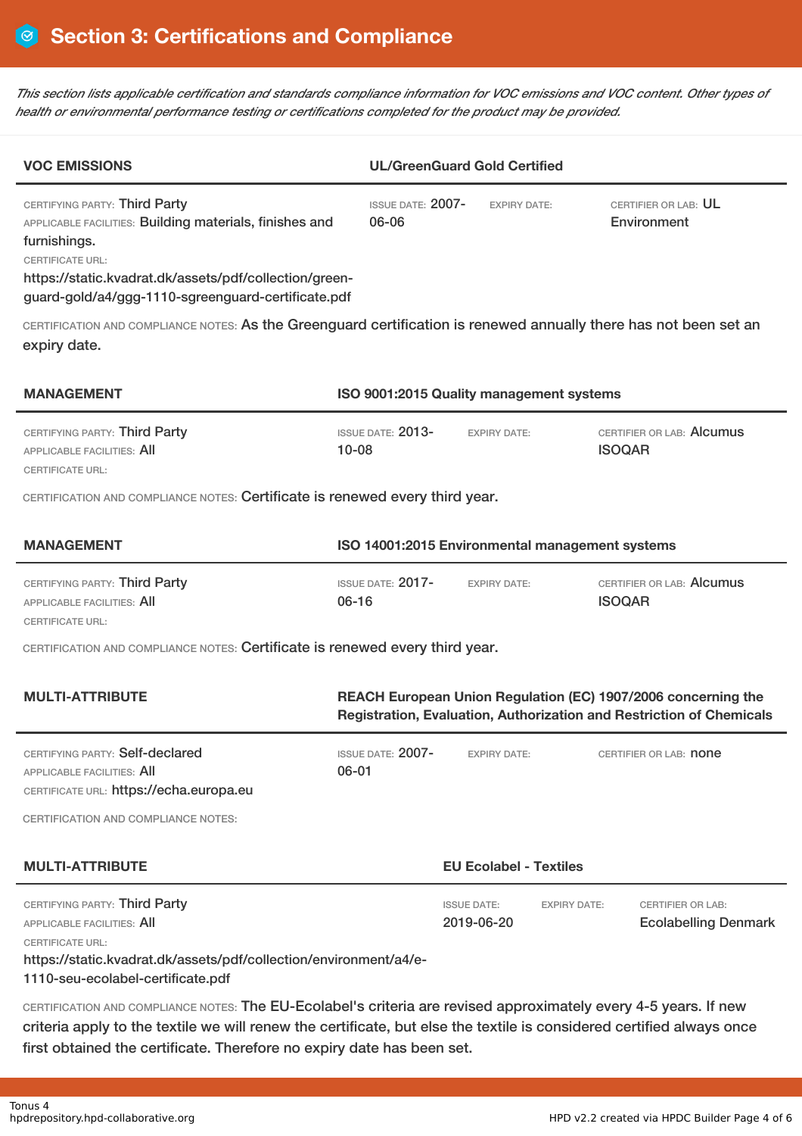This section lists applicable certification and standards compliance information for VOC emissions and VOC content. Other types of *health or environmental performance testing or certifications completed for the product may be provided.*

| <b>VOC EMISSIONS</b>                                                                                                                                                                                                                                |                                                 | <b>UL/GreenGuard Gold Certified</b> |                     |                                                         |  |  |
|-----------------------------------------------------------------------------------------------------------------------------------------------------------------------------------------------------------------------------------------------------|-------------------------------------------------|-------------------------------------|---------------------|---------------------------------------------------------|--|--|
| CERTIFYING PARTY: Third Party<br>APPLICABLE FACILITIES: Building materials, finishes and<br>furnishings.<br><b>CERTIFICATE URL:</b><br>https://static.kvadrat.dk/assets/pdf/collection/green-<br>guard-gold/a4/ggg-1110-sgreenguard-certificate.pdf | <b>ISSUE DATE: 2007-</b><br>06-06               | <b>FXPIRY DATF:</b>                 |                     | CERTIFIER OR LAB: UL<br>Environment                     |  |  |
| CERTIFICATION AND COMPLIANCE NOTES: As the Greenguard certification is renewed annually there has not been set an<br>expiry date.                                                                                                                   |                                                 |                                     |                     |                                                         |  |  |
| <b>MANAGEMENT</b>                                                                                                                                                                                                                                   | ISO 9001:2015 Quality management systems        |                                     |                     |                                                         |  |  |
| CERTIFYING PARTY: Third Party<br><b>APPLICABLE FACILITIES: AII</b><br><b>CERTIFICATE URL:</b>                                                                                                                                                       | <b>ISSUE DATE: 2013-</b><br>$10 - 08$           | <b>EXPIRY DATE:</b>                 |                     | CERTIFIER OR LAB: Alcumus<br><b>ISOQAR</b>              |  |  |
| CERTIFICATION AND COMPLIANCE NOTES: Certificate is renewed every third year.                                                                                                                                                                        |                                                 |                                     |                     |                                                         |  |  |
| <b>MANAGEMENT</b>                                                                                                                                                                                                                                   | ISO 14001:2015 Environmental management systems |                                     |                     |                                                         |  |  |
| CERTIFYING PARTY: Third Party<br><b>APPLICABLE FACILITIES: AII</b><br><b>CERTIFICATE URL:</b>                                                                                                                                                       | <b>ISSUE DATE: 2017-</b><br>$06 - 16$           | <b>EXPIRY DATE:</b>                 |                     | CERTIFIER OR LAB: Alcumus<br><b>ISOQAR</b>              |  |  |
| CERTIFICATION AND COMPLIANCE NOTES: Certificate is renewed every third year.                                                                                                                                                                        |                                                 |                                     |                     |                                                         |  |  |
| <b>MULTI-ATTRIBUTE</b><br>REACH European Union Regulation (EC) 1907/2006 concerning the<br>Registration, Evaluation, Authorization and Restriction of Chemicals                                                                                     |                                                 |                                     |                     |                                                         |  |  |
| CERTIFYING PARTY: Self-declared<br>APPLICABLE FACILITIES: All<br>CERTIFICATE URL: https://echa.europa.eu                                                                                                                                            | ISSUE DATE: 2007-<br>$06 - 01$                  | <b>EXPIRY DATE:</b>                 |                     | CERTIFIER OR LAB: <b>none</b>                           |  |  |
| <b>CERTIFICATION AND COMPLIANCE NOTES:</b>                                                                                                                                                                                                          |                                                 |                                     |                     |                                                         |  |  |
| <b>MULTI-ATTRIBUTE</b>                                                                                                                                                                                                                              | <b>EU Ecolabel - Textiles</b>                   |                                     |                     |                                                         |  |  |
| CERTIFYING PARTY: Third Party<br><b>APPLICABLE FACILITIES: AII</b><br><b>CERTIFICATE URL:</b><br>https://static.kvadrat.dk/assets/pdf/collection/environment/a4/e-<br>1110-seu-ecolabel-certificate.pdf                                             |                                                 | <b>ISSUE DATE:</b><br>2019-06-20    | <b>EXPIRY DATE:</b> | <b>CERTIFIER OR LAB:</b><br><b>Ecolabelling Denmark</b> |  |  |
| CERTIFICATION AND COMPLIANCE NOTES: The EU-Ecolabel's criteria are revised approximately every 4-5 years. If new<br>criteria apply to the textile we will renew the certificate, but else the textile is considered certified always once           |                                                 |                                     |                     |                                                         |  |  |

first obtained the certificate. Therefore no expiry date has been set.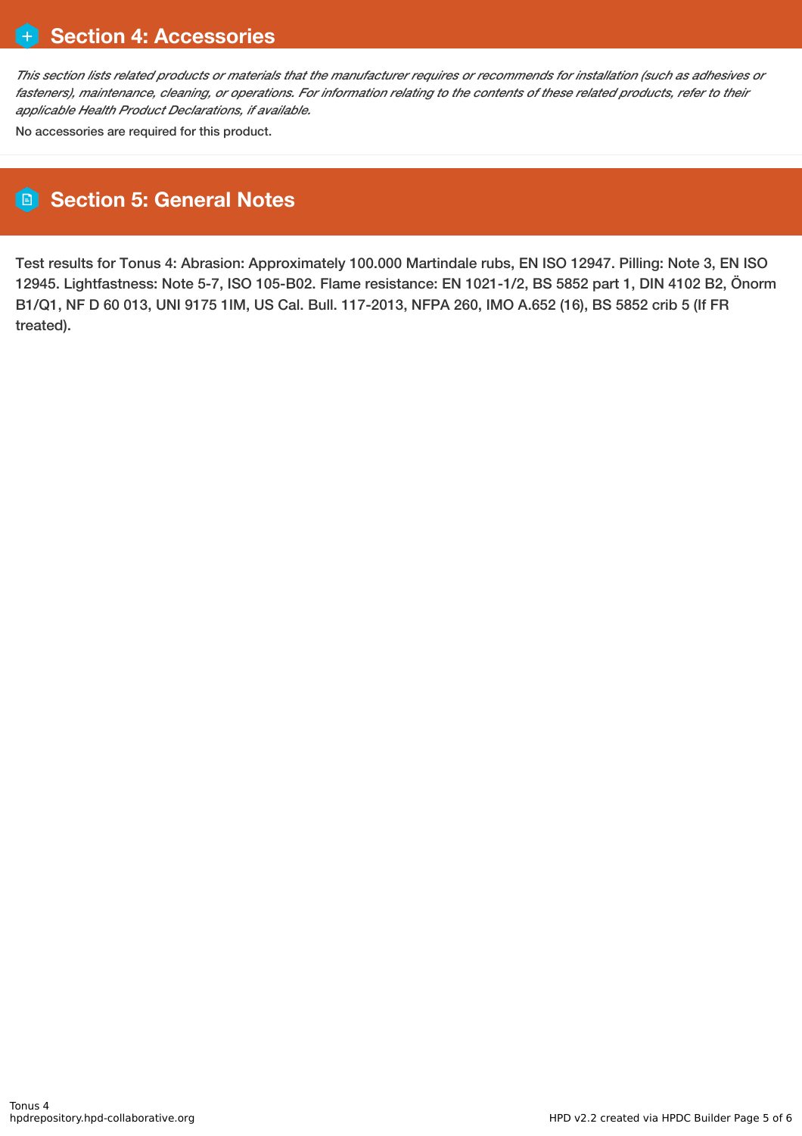This section lists related products or materials that the manufacturer requires or recommends for installation (such as adhesives or fasteners), maintenance, cleaning, or operations. For information relating to the contents of these related products, refer to their *applicable Health Product Declarations, if available.*

No accessories are required for this product.

## **Section 5: General Notes**

Test results for Tonus 4: Abrasion: Approximately 100.000 Martindale rubs, EN ISO 12947. Pilling: Note 3, EN ISO 12945. Lightfastness: Note 5-7, ISO 105-B02. Flame resistance: EN 1021-1/2, BS 5852 part 1, DIN 4102 B2, Önorm B1/Q1, NF D 60 013, UNI 9175 1IM, US Cal. Bull. 117-2013, NFPA 260, IMO A.652 (16), BS 5852 crib 5 (If FR treated).